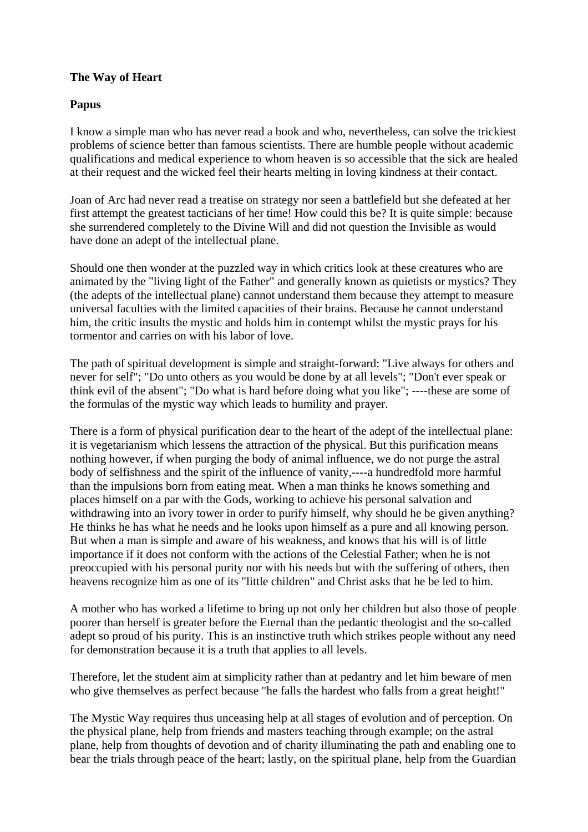## **The Way of Heart**

## **Papus**

I know a simple man who has never read a book and who, nevertheless, can solve the trickiest problems of science better than famous scientists. There are humble people without academic qualifications and medical experience to whom heaven is so accessible that the sick are healed at their request and the wicked feel their hearts melting in loving kindness at their contact.

Joan of Arc had never read a treatise on strategy nor seen a battlefield but she defeated at her first attempt the greatest tacticians of her time! How could this be? It is quite simple: because she surrendered completely to the Divine Will and did not question the Invisible as would have done an adept of the intellectual plane.

Should one then wonder at the puzzled way in which critics look at these creatures who are animated by the "living light of the Father" and generally known as quietists or mystics? They (the adepts of the intellectual plane) cannot understand them because they attempt to measure universal faculties with the limited capacities of their brains. Because he cannot understand him, the critic insults the mystic and holds him in contempt whilst the mystic prays for his tormentor and carries on with his labor of love.

The path of spiritual development is simple and straight-forward: "Live always for others and never for self"; "Do unto others as you would be done by at all levels"; "Don't ever speak or think evil of the absent"; "Do what is hard before doing what you like"; ----these are some of the formulas of the mystic way which leads to humility and prayer.

There is a form of physical purification dear to the heart of the adept of the intellectual plane: it is vegetarianism which lessens the attraction of the physical. But this purification means nothing however, if when purging the body of animal influence, we do not purge the astral body of selfishness and the spirit of the influence of vanity,----a hundredfold more harmful than the impulsions born from eating meat. When a man thinks he knows something and places himself on a par with the Gods, working to achieve his personal salvation and withdrawing into an ivory tower in order to purify himself, why should he be given anything? He thinks he has what he needs and he looks upon himself as a pure and all knowing person. But when a man is simple and aware of his weakness, and knows that his will is of little importance if it does not conform with the actions of the Celestial Father; when he is not preoccupied with his personal purity nor with his needs but with the suffering of others, then heavens recognize him as one of its "little children" and Christ asks that he be led to him.

A mother who has worked a lifetime to bring up not only her children but also those of people poorer than herself is greater before the Eternal than the pedantic theologist and the so-called adept so proud of his purity. This is an instinctive truth which strikes people without any need for demonstration because it is a truth that applies to all levels.

Therefore, let the student aim at simplicity rather than at pedantry and let him beware of men who give themselves as perfect because "he falls the hardest who falls from a great height!"

The Mystic Way requires thus unceasing help at all stages of evolution and of perception. On the physical plane, help from friends and masters teaching through example; on the astral plane, help from thoughts of devotion and of charity illuminating the path and enabling one to bear the trials through peace of the heart; lastly, on the spiritual plane, help from the Guardian